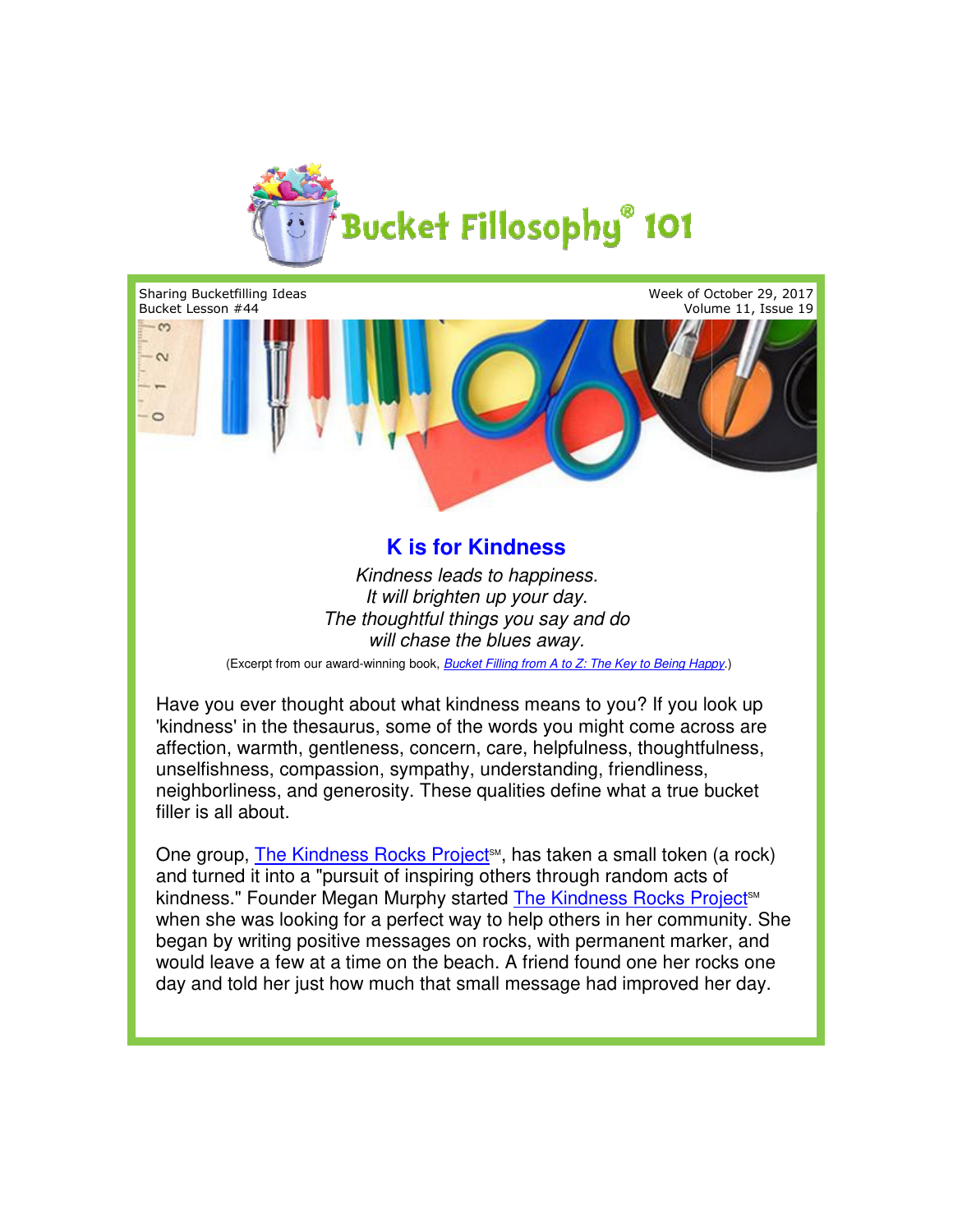

Sharing Bucketfilling Ideas Week of October 29, 2017 Bucket Lesson #44 Volume 11, Issue 19 **K is for Kindness**<br>
Kindness leads to happiness.<br> *Kivill brighten up your day.*<br>
The thoughtful things you say and do<br>
will chase the blues away.<br>
wad whill chase the blues away.<br>
wad whill chase the blues away.<br>
th abou  $\infty$  $\sim$ 

## **K is for Kindness**

*Kindness leads to happiness. The thoughtful things you say and do do It will brighten up your day. will chase the blues away.*

(Excerpt from our award from our award-winning book, *Bucket Filling from A to Z: The Key to Being Happy*

Have you ever thought about what kindness means to you? If you look up Have you ever thought about what kindness means to you? If you look up<br>'kindness' in the thesaurus, some of the words you might come across are affection, warmth, gentleness, concern, care, helpfulness, thoughtfulness, unselfishness, compassion, sympathy, understanding, friendliness, compassion, sympathy, understanding, friendliness, neighborliness, and generosity. These qualities define what a true bucket a true filler is all about. affection, warmth, gentleness, concern, care, helpfulness, thoughtfulness<br>unselfishness, compassion, sympathy, understanding, friendliness,<br>neighborliness, and generosity. These qualities define what a true bucket<br>filler

One group, <u>The Kindness Rocks Project</u>℠, has taken a small token (a rock) and turned it into a "pursuit of inspiring others through random acts of when she was looking for a perfect way to help others in her community. She began by writing positive messages on rocks, with permanent marker, and would leave a few at a time on the beach. A friend found one her rocks one day and told her just how much that small message had improved her day.